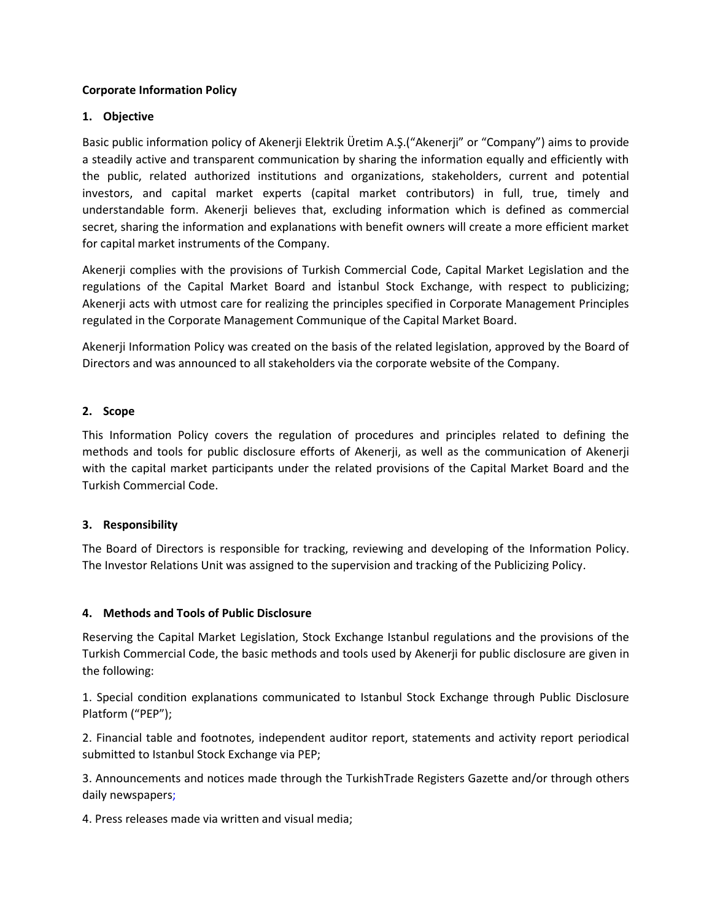## **Corporate Information Policy**

## **1. Objective**

Basic public information policy of Akenerji Elektrik Üretim A.Ş.("Akenerji" or "Company") aims to provide a steadily active and transparent communication by sharing the information equally and efficiently with the public, related authorized institutions and organizations, stakeholders, current and potential investors, and capital market experts (capital market contributors) in full, true, timely and understandable form. Akenerji believes that, excluding information which is defined as commercial secret, sharing the information and explanations with benefit owners will create a more efficient market for capital market instruments of the Company.

Akenerji complies with the provisions of Turkish Commercial Code, Capital Market Legislation and the regulations of the Capital Market Board and İstanbul Stock Exchange, with respect to publicizing; Akenerji acts with utmost care for realizing the principles specified in Corporate Management Principles regulated in the Corporate Management Communique of the Capital Market Board.

Akenerji Information Policy was created on the basis of the related legislation, approved by the Board of Directors and was announced to all stakeholders via the corporate website of the Company.

## **2. Scope**

This Information Policy covers the regulation of procedures and principles related to defining the methods and tools for public disclosure efforts of Akenerji, as well as the communication of Akenerji with the capital market participants under the related provisions of the Capital Market Board and the Turkish Commercial Code.

## **3. Responsibility**

The Board of Directors is responsible for tracking, reviewing and developing of the Information Policy. The Investor Relations Unit was assigned to the supervision and tracking of the Publicizing Policy.

### **4. Methods and Tools of Public Disclosure**

Reserving the Capital Market Legislation, Stock Exchange Istanbul regulations and the provisions of the Turkish Commercial Code, the basic methods and tools used by Akenerji for public disclosure are given in the following:

1. Special condition explanations communicated to Istanbul Stock Exchange through Public Disclosure Platform ("PEP");

2. Financial table and footnotes, independent auditor report, statements and activity report periodical submitted to Istanbul Stock Exchange via PEP;

3. Announcements and notices made through the TurkishTrade Registers Gazette and/or through others daily newspapers;

4. Press releases made via written and visual media;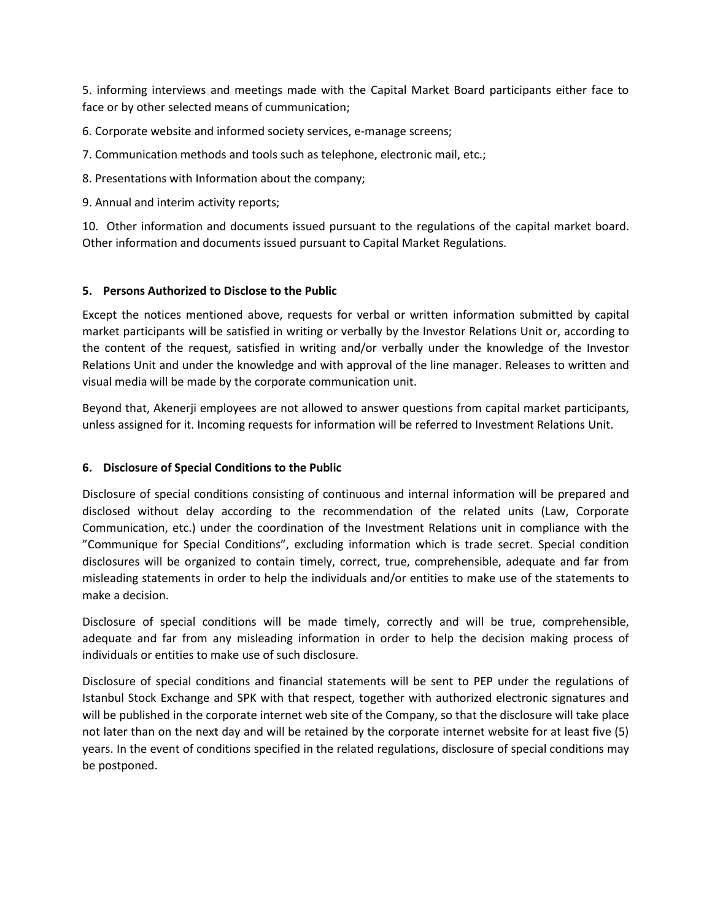5. informing interviews and meetings made with the Capital Market Board participants either face to face or by other selected means of cummunication;

6. Corporate website and informed society services, e-manage screens;

7. Communication methods and tools such as telephone, electronic mail, etc.;

8. Presentations with Information about the company;

9. Annual and interim activity reports;

10. Other information and documents issued pursuant to the regulations of the capital market board. Other information and documents issued pursuant to Capital Market Regulations.

## **5. Persons Authorized to Disclose to the Public**

Except the notices mentioned above, requests for verbal or written information submitted by capital market participants will be satisfied in writing or verbally by the Investor Relations Unit or, according to the content of the request, satisfied in writing and/or verbally under the knowledge of the Investor Relations Unit and under the knowledge and with approval of the line manager. Releases to written and visual media will be made by the corporate communication unit.

Beyond that, Akenerji employees are not allowed to answer questions from capital market participants, unless assigned for it. Incoming requests for information will be referred to Investment Relations Unit.

## **6. Disclosure of Special Conditions to the Public**

Disclosure of special conditions consisting of continuous and internal information will be prepared and disclosed without delay according to the recommendation of the related units (Law, Corporate Communication, etc.) under the coordination of the Investment Relations unit in compliance with the "Communique for Special Conditions", excluding information which is trade secret. Special condition disclosures will be organized to contain timely, correct, true, comprehensible, adequate and far from misleading statements in order to help the individuals and/or entities to make use of the statements to make a decision.

Disclosure of special conditions will be made timely, correctly and will be true, comprehensible, adequate and far from any misleading information in order to help the decision making process of individuals or entities to make use of such disclosure.

Disclosure of special conditions and financial statements will be sent to PEP under the regulations of Istanbul Stock Exchange and SPK with that respect, together with authorized electronic signatures and will be published in the corporate internet web site of the Company, so that the disclosure will take place not later than on the next day and will be retained by the corporate internet website for at least five (5) years. In the event of conditions specified in the related regulations, disclosure of special conditions may be postponed.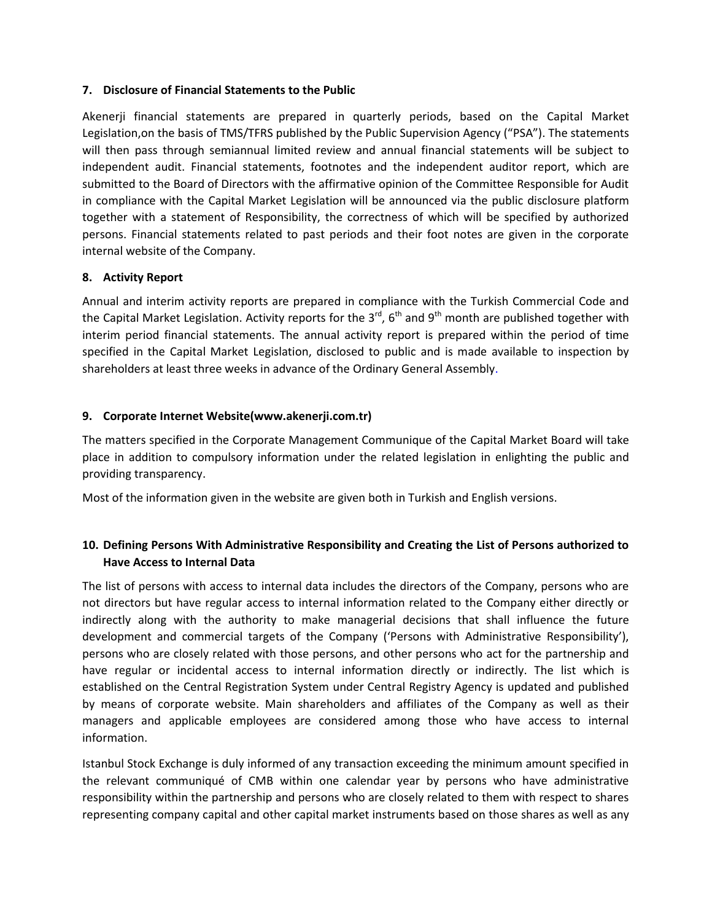### **7. Disclosure of Financial Statements to the Public**

Akenerji financial statements are prepared in quarterly periods, based on the Capital Market Legislation,on the basis of TMS/TFRS published by the Public Supervision Agency ("PSA"). The statements will then pass through semiannual limited review and annual financial statements will be subject to independent audit. Financial statements, footnotes and the independent auditor report, which are submitted to the Board of Directors with the affirmative opinion of the Committee Responsible for Audit in compliance with the Capital Market Legislation will be announced via the public disclosure platform together with a statement of Responsibility, the correctness of which will be specified by authorized persons. Financial statements related to past periods and their foot notes are given in the corporate internal website of the Company.

## **8. Activity Report**

Annual and interim activity reports are prepared in compliance with the Turkish Commercial Code and the Capital Market Legislation. Activity reports for the 3<sup>rd</sup>, 6<sup>th</sup> and 9<sup>th</sup> month are published together with interim period financial statements. The annual activity report is prepared within the period of time specified in the Capital Market Legislation, disclosed to public and is made available to inspection by shareholders at least three weeks in advance of the Ordinary General Assembly.

## **9. Corporate Internet Website(www.akenerji.com.tr)**

The matters specified in the Corporate Management Communique of the Capital Market Board will take place in addition to compulsory information under the related legislation in enlighting the public and providing transparency.

Most of the information given in the website are given both in Turkish and English versions.

## **10. Defining Persons With Administrative Responsibility and Creating the List of Persons authorized to Have Access to Internal Data**

The list of persons with access to internal data includes the directors of the Company, persons who are not directors but have regular access to internal information related to the Company either directly or indirectly along with the authority to make managerial decisions that shall influence the future development and commercial targets of the Company ('Persons with Administrative Responsibility'), persons who are closely related with those persons, and other persons who act for the partnership and have regular or incidental access to internal information directly or indirectly. The list which is established on the Central Registration System under Central Registry Agency is updated and published by means of corporate website. Main shareholders and affiliates of the Company as well as their managers and applicable employees are considered among those who have access to internal information.

Istanbul Stock Exchange is duly informed of any transaction exceeding the minimum amount specified in the relevant communiqué of CMB within one calendar year by persons who have administrative responsibility within the partnership and persons who are closely related to them with respect to shares representing company capital and other capital market instruments based on those shares as well as any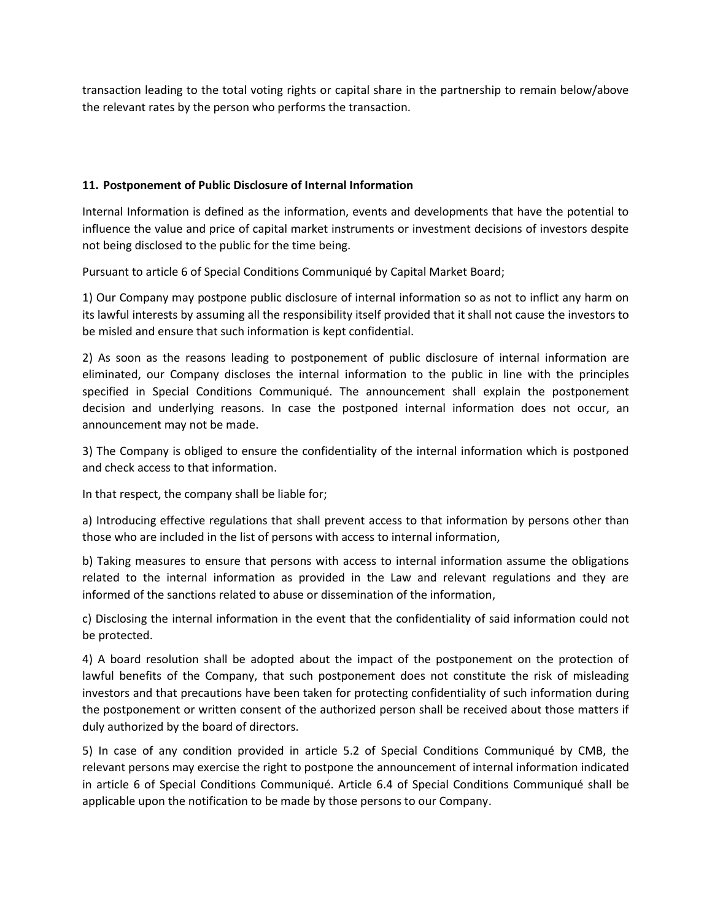transaction leading to the total voting rights or capital share in the partnership to remain below/above the relevant rates by the person who performs the transaction.

# **11. Postponement of Public Disclosure of Internal Information**

Internal Information is defined as the information, events and developments that have the potential to influence the value and price of capital market instruments or investment decisions of investors despite not being disclosed to the public for the time being.

Pursuant to article 6 of Special Conditions Communiqué by Capital Market Board;

1) Our Company may postpone public disclosure of internal information so as not to inflict any harm on its lawful interests by assuming all the responsibility itself provided that it shall not cause the investors to be misled and ensure that such information is kept confidential.

2) As soon as the reasons leading to postponement of public disclosure of internal information are eliminated, our Company discloses the internal information to the public in line with the principles specified in Special Conditions Communiqué. The announcement shall explain the postponement decision and underlying reasons. In case the postponed internal information does not occur, an announcement may not be made.

3) The Company is obliged to ensure the confidentiality of the internal information which is postponed and check access to that information.

In that respect, the company shall be liable for;

a) Introducing effective regulations that shall prevent access to that information by persons other than those who are included in the list of persons with access to internal information,

b) Taking measures to ensure that persons with access to internal information assume the obligations related to the internal information as provided in the Law and relevant regulations and they are informed of the sanctions related to abuse or dissemination of the information,

c) Disclosing the internal information in the event that the confidentiality of said information could not be protected.

4) A board resolution shall be adopted about the impact of the postponement on the protection of lawful benefits of the Company, that such postponement does not constitute the risk of misleading investors and that precautions have been taken for protecting confidentiality of such information during the postponement or written consent of the authorized person shall be received about those matters if duly authorized by the board of directors.

5) In case of any condition provided in article 5.2 of Special Conditions Communiqué by CMB, the relevant persons may exercise the right to postpone the announcement of internal information indicated in article 6 of Special Conditions Communiqué. Article 6.4 of Special Conditions Communiqué shall be applicable upon the notification to be made by those persons to our Company.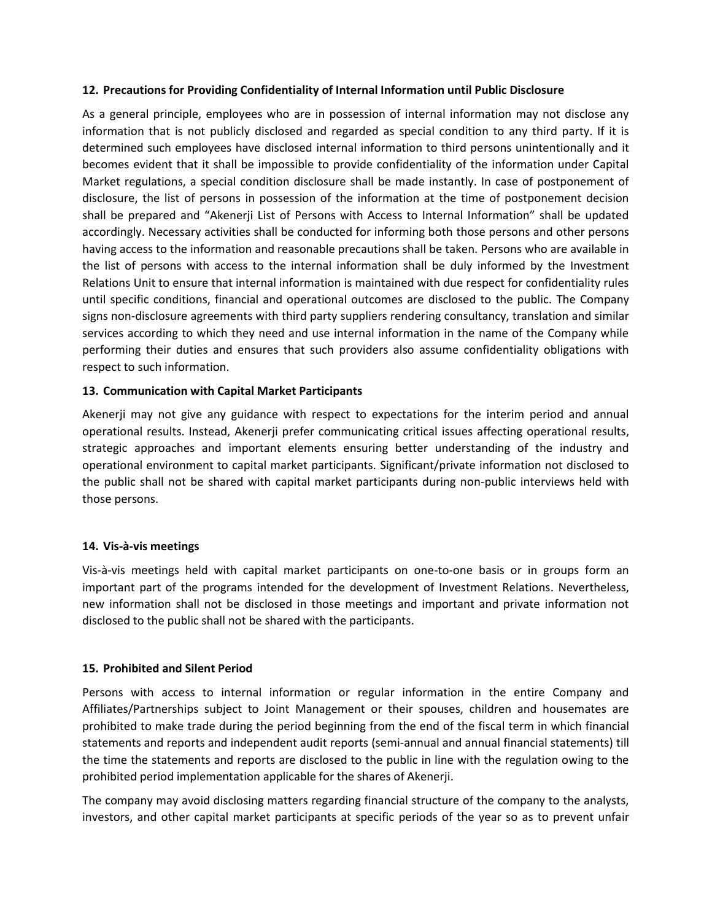### **12. Precautions for Providing Confidentiality of Internal Information until Public Disclosure**

As a general principle, employees who are in possession of internal information may not disclose any information that is not publicly disclosed and regarded as special condition to any third party. If it is determined such employees have disclosed internal information to third persons unintentionally and it becomes evident that it shall be impossible to provide confidentiality of the information under Capital Market regulations, a special condition disclosure shall be made instantly. In case of postponement of disclosure, the list of persons in possession of the information at the time of postponement decision shall be prepared and "Akenerji List of Persons with Access to Internal Information" shall be updated accordingly. Necessary activities shall be conducted for informing both those persons and other persons having access to the information and reasonable precautions shall be taken. Persons who are available in the list of persons with access to the internal information shall be duly informed by the Investment Relations Unit to ensure that internal information is maintained with due respect for confidentiality rules until specific conditions, financial and operational outcomes are disclosed to the public. The Company signs non-disclosure agreements with third party suppliers rendering consultancy, translation and similar services according to which they need and use internal information in the name of the Company while performing their duties and ensures that such providers also assume confidentiality obligations with respect to such information.

## **13. Communication with Capital Market Participants**

Akenerji may not give any guidance with respect to expectations for the interim period and annual operational results. Instead, Akenerji prefer communicating critical issues affecting operational results, strategic approaches and important elements ensuring better understanding of the industry and operational environment to capital market participants. Significant/private information not disclosed to the public shall not be shared with capital market participants during non-public interviews held with those persons.

### **14. Vis-à-vis meetings**

Vis-à-vis meetings held with capital market participants on one-to-one basis or in groups form an important part of the programs intended for the development of Investment Relations. Nevertheless, new information shall not be disclosed in those meetings and important and private information not disclosed to the public shall not be shared with the participants.

### **15. Prohibited and Silent Period**

Persons with access to internal information or regular information in the entire Company and Affiliates/Partnerships subject to Joint Management or their spouses, children and housemates are prohibited to make trade during the period beginning from the end of the fiscal term in which financial statements and reports and independent audit reports (semi-annual and annual financial statements) till the time the statements and reports are disclosed to the public in line with the regulation owing to the prohibited period implementation applicable for the shares of Akenerji.

The company may avoid disclosing matters regarding financial structure of the company to the analysts, investors, and other capital market participants at specific periods of the year so as to prevent unfair